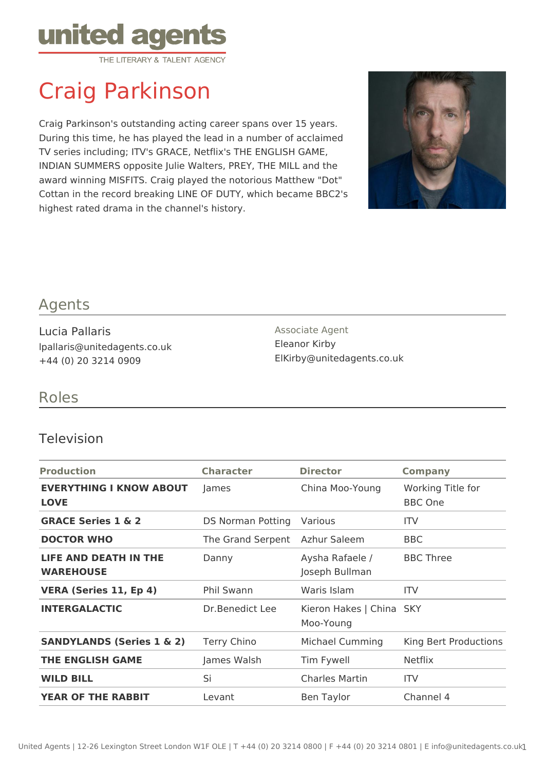

# Craig Parkinson

Craig Parkinson's outstanding acting career spans over 15 years. During this time, he has played the lead in a number of acclaimed TV series including; ITV's GRACE, Netflix's THE ENGLISH GAME, INDIAN SUMMERS opposite Julie Walters, PREY, THE MILL and the award winning MISFITS. Craig played the notorious Matthew "Dot" Cottan in the record breaking LINE OF DUTY, which became BBC2's highest rated drama in the channel's history.



## Agents

Lucia Pallaris lpallaris@unitedagents.co.uk +44 (0) 20 3214 0909

Associate Agent Eleanor Kirby ElKirby@unitedagents.co.uk

## Roles

#### Television

| <b>Production</b>                                | <b>Character</b>         | <b>Director</b>                       | <b>Company</b>                      |
|--------------------------------------------------|--------------------------|---------------------------------------|-------------------------------------|
| <b>EVERYTHING I KNOW ABOUT</b><br><b>LOVE</b>    | James                    | China Moo-Young                       | Working Title for<br><b>BBC One</b> |
| <b>GRACE Series 1 &amp; 2</b>                    | <b>DS Norman Potting</b> | Various                               | <b>ITV</b>                          |
| <b>DOCTOR WHO</b>                                | The Grand Serpent        | Azhur Saleem                          | BBC                                 |
| <b>LIFE AND DEATH IN THE</b><br><b>WAREHOUSE</b> | Danny                    | Aysha Rafaele /<br>Joseph Bullman     | <b>BBC Three</b>                    |
| <b>VERA (Series 11, Ep 4)</b>                    | <b>Phil Swann</b>        | Waris Islam                           | <b>ITV</b>                          |
| <b>INTERGALACTIC</b>                             | Dr.Benedict Lee          | Kieron Hakes   China SKY<br>Moo-Young |                                     |
| <b>SANDYLANDS (Series 1 &amp; 2)</b>             | Terry Chino              | Michael Cumming                       | King Bert Productions               |
| <b>THE ENGLISH GAME</b>                          | James Walsh              | Tim Fywell                            | <b>Netflix</b>                      |
| <b>WILD BILL</b>                                 | Si                       | <b>Charles Martin</b>                 | <b>ITV</b>                          |
| <b>YEAR OF THE RABBIT</b>                        | Levant                   | Ben Taylor                            | Channel 4                           |
|                                                  |                          |                                       |                                     |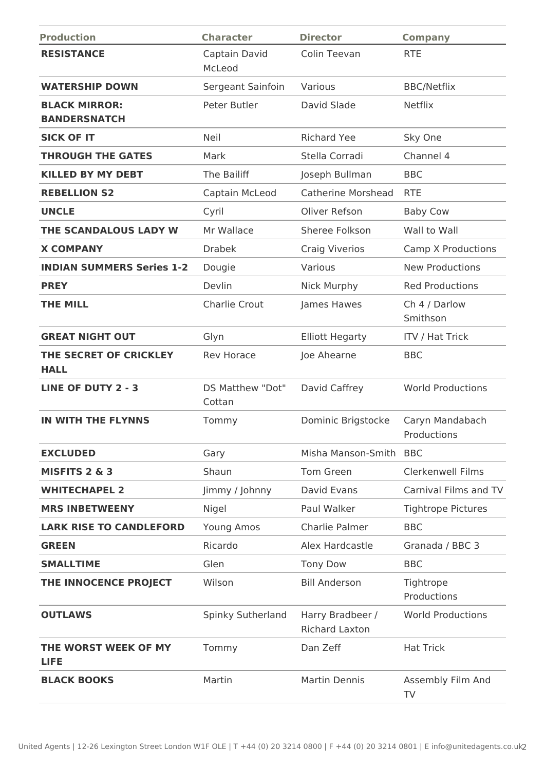| <b>Production</b>                           | <b>Character</b>           | <b>Director</b>                           | <b>Company</b>                 |
|---------------------------------------------|----------------------------|-------------------------------------------|--------------------------------|
| <b>RESISTANCE</b>                           | Captain David<br>McLeod    | Colin Teevan                              | <b>RTE</b>                     |
| <b>WATERSHIP DOWN</b>                       | Sergeant Sainfoin          | Various                                   | <b>BBC/Netflix</b>             |
| <b>BLACK MIRROR:</b><br><b>BANDERSNATCH</b> | Peter Butler               | David Slade                               | <b>Netflix</b>                 |
| <b>SICK OF IT</b>                           | Neil                       | <b>Richard Yee</b>                        | Sky One                        |
| <b>THROUGH THE GATES</b>                    | Mark                       | Stella Corradi                            | Channel 4                      |
| <b>KILLED BY MY DEBT</b>                    | The Bailiff                | Joseph Bullman                            | <b>BBC</b>                     |
| <b>REBELLION S2</b>                         | Captain McLeod             | <b>Catherine Morshead</b>                 | <b>RTE</b>                     |
| <b>UNCLE</b>                                | Cyril                      | Oliver Refson                             | <b>Baby Cow</b>                |
| THE SCANDALOUS LADY W                       | Mr Wallace                 | Sheree Folkson                            | Wall to Wall                   |
| <b>X COMPANY</b>                            | <b>Drabek</b>              | <b>Craig Viverios</b>                     | <b>Camp X Productions</b>      |
| <b>INDIAN SUMMERS Series 1-2</b>            | Dougie                     | Various                                   | <b>New Productions</b>         |
| <b>PREY</b>                                 | Devlin                     | Nick Murphy                               | <b>Red Productions</b>         |
| <b>THE MILL</b>                             | Charlie Crout              | James Hawes                               | Ch 4 / Darlow<br>Smithson      |
| <b>GREAT NIGHT OUT</b>                      | Glyn                       | <b>Elliott Hegarty</b>                    | <b>ITV / Hat Trick</b>         |
| THE SECRET OF CRICKLEY<br><b>HALL</b>       | <b>Rev Horace</b>          | Joe Ahearne                               | <b>BBC</b>                     |
| <b>LINE OF DUTY 2 - 3</b>                   | DS Matthew "Dot"<br>Cottan | David Caffrey                             | <b>World Productions</b>       |
| IN WITH THE FLYNNS                          | Tommy                      | Dominic Brigstocke                        | Caryn Mandabach<br>Productions |
| <b>EXCLUDED</b>                             | Gary                       | Misha Manson-Smith BBC                    |                                |
| MISFITS 2 & 3                               | Shaun                      | Tom Green                                 | <b>Clerkenwell Films</b>       |
| <b>WHITECHAPEL 2</b>                        | Jimmy / Johnny             | David Evans                               | Carnival Films and TV          |
| <b>MRS INBETWEENY</b>                       | Nigel                      | Paul Walker                               | <b>Tightrope Pictures</b>      |
| <b>LARK RISE TO CANDLEFORD</b>              | Young Amos                 | Charlie Palmer                            | <b>BBC</b>                     |
| <b>GREEN</b>                                | Ricardo                    | Alex Hardcastle                           | Granada / BBC 3                |
| <b>SMALLTIME</b>                            | Glen                       | <b>Tony Dow</b>                           | <b>BBC</b>                     |
| THE INNOCENCE PROJECT                       | Wilson                     | <b>Bill Anderson</b>                      | Tightrope<br>Productions       |
| <b>OUTLAWS</b>                              | Spinky Sutherland          | Harry Bradbeer /<br><b>Richard Laxton</b> | <b>World Productions</b>       |
| THE WORST WEEK OF MY<br><b>LIFE</b>         | Tommy                      | Dan Zeff                                  | <b>Hat Trick</b>               |
| <b>BLACK BOOKS</b>                          | Martin                     | <b>Martin Dennis</b>                      | Assembly Film And<br>TV        |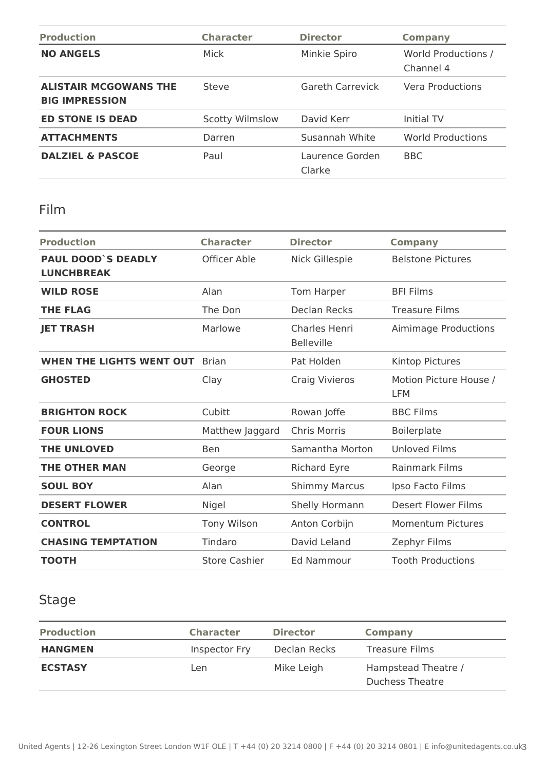| <b>Production</b>                                     | <b>Character</b>       | <b>Director</b>           | <b>Company</b>                   |
|-------------------------------------------------------|------------------------|---------------------------|----------------------------------|
| <b>NO ANGELS</b>                                      | Mick                   | Minkie Spiro              | World Productions /<br>Channel 4 |
| <b>ALISTAIR MCGOWANS THE</b><br><b>BIG IMPRESSION</b> | Steve                  | <b>Gareth Carrevick</b>   | Vera Productions                 |
| <b>ED STONE IS DEAD</b>                               | <b>Scotty Wilmslow</b> | David Kerr                | Initial TV                       |
| <b>ATTACHMENTS</b>                                    | Darren                 | Susannah White            | <b>World Productions</b>         |
| <b>DALZIEL &amp; PASCOE</b>                           | Paul                   | Laurence Gorden<br>Clarke | <b>BBC</b>                       |

## Film

| <b>Production</b>                              | <b>Character</b>     | <b>Director</b>                    | <b>Company</b>                |
|------------------------------------------------|----------------------|------------------------------------|-------------------------------|
| <b>PAUL DOOD'S DEADLY</b><br><b>LUNCHBREAK</b> | Officer Able         | Nick Gillespie                     | <b>Belstone Pictures</b>      |
| <b>WILD ROSE</b>                               | Alan                 | Tom Harper                         | <b>BFI Films</b>              |
| <b>THE FLAG</b>                                | The Don              | <b>Declan Recks</b>                | <b>Treasure Films</b>         |
| <b>JET TRASH</b>                               | Marlowe              | Charles Henri<br><b>Belleville</b> | Aimimage Productions          |
| <b>WHEN THE LIGHTS WENT OUT</b>                | Brian                | Pat Holden                         | <b>Kintop Pictures</b>        |
| <b>GHOSTED</b>                                 | Clay                 | <b>Craig Vivieros</b>              | Motion Picture House /<br>LFM |
| <b>BRIGHTON ROCK</b>                           | Cubitt               | Rowan Joffe                        | <b>BBC Films</b>              |
| <b>FOUR LIONS</b>                              | Matthew Jaggard      | <b>Chris Morris</b>                | Boilerplate                   |
| <b>THE UNLOVED</b>                             | <b>Ben</b>           | Samantha Morton                    | <b>Unloved Films</b>          |
| <b>THE OTHER MAN</b>                           | George               | <b>Richard Eyre</b>                | <b>Rainmark Films</b>         |
| <b>SOUL BOY</b>                                | Alan                 | <b>Shimmy Marcus</b>               | Ipso Facto Films              |
| <b>DESERT FLOWER</b>                           | Nigel                | Shelly Hormann                     | Desert Flower Films           |
| <b>CONTROL</b>                                 | <b>Tony Wilson</b>   | Anton Corbijn                      | <b>Momentum Pictures</b>      |
| <b>CHASING TEMPTATION</b>                      | Tindaro              | David Leland                       | Zephyr Films                  |
| <b>TOOTH</b>                                   | <b>Store Cashier</b> | Ed Nammour                         | <b>Tooth Productions</b>      |

## Stage

| <b>Production</b> | <b>Character</b> | <b>Director</b> | <b>Company</b>                         |
|-------------------|------------------|-----------------|----------------------------------------|
| <b>HANGMEN</b>    | Inspector Fry    | Declan Recks    | <b>Treasure Films</b>                  |
| <b>ECSTASY</b>    | Len              | Mike Leigh      | Hampstead Theatre /<br>Duchess Theatre |